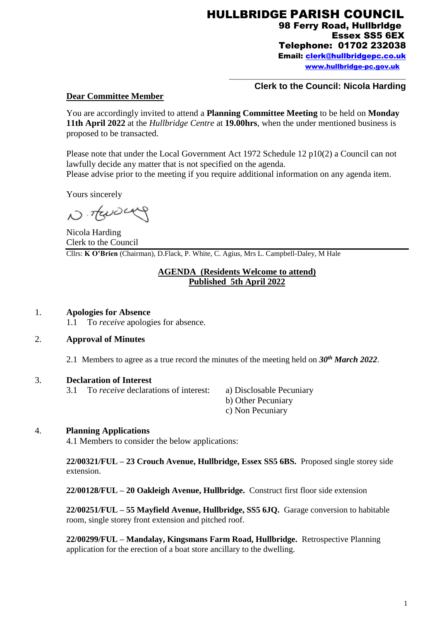HULLBRIDGE PARISH COUNCIL 98 Ferry Road, Hullbrldge Essex SS5 6EX Telephone: 01702 232038 Email: [clerk@hullbridgepc.co.uk](mailto:clerk@hullbridgepc.co.uk)  [www.hullbridge-pc.gov.uk](http://www.hullbridge-pc.gov.uk/)

\_\_\_\_\_\_\_\_\_\_\_\_\_\_\_\_\_\_\_\_\_\_\_\_\_\_\_\_\_\_\_\_\_\_\_\_\_\_\_\_\_\_\_\_\_\_\_\_

### **Clerk to the Council: Nicola Harding**

### **Dear Committee Member**

You are accordingly invited to attend a **Planning Committee Meeting** to be held on **Monday 11th April 2022** at the *Hullbridge Centre* at **19.00hrs**, when the under mentioned business is proposed to be transacted.

Please note that under the Local Government Act 1972 Schedule 12 p10(2) a Council can not lawfully decide any matter that is not specified on the agenda. Please advise prior to the meeting if you require additional information on any agenda item.

Yours sincerely

N. Trusca

Nicola Harding Clerk to the Council Cllrs: **K O'Brien** (Chairman), D.Flack, P. White, C. Agius, Mrs L. Campbell-Daley, M Hale

## **AGENDA (Residents Welcome to attend) Published 5th April 2022**

#### 1. **Apologies for Absence**

1.1 To *receive* apologies for absence.

#### 2. **Approval of Minutes**

2.1 Members to agree as a true record the minutes of the meeting held on *30th March 2022*.

#### 3. **Declaration of Interest**

3.1 To *receive* declarations of interest: a) Disclosable Pecuniary

- b) Other Pecuniary
- c) Non Pecuniary

#### 4. **Planning Applications**

4.1 Members to consider the below applications:

**22/00321/FUL – 23 Crouch Avenue, Hullbridge, Essex SS5 6BS.** Proposed single storey side extension.

**22/00128/FUL – 20 Oakleigh Avenue, Hullbridge.** Construct first floor side extension

**22/00251/FUL – 55 Mayfield Avenue, Hullbridge, SS5 6JQ.** Garage conversion to habitable room, single storey front extension and pitched roof.

**22/00299/FUL – Mandalay, Kingsmans Farm Road, Hullbridge.** Retrospective Planning application for the erection of a boat store ancillary to the dwelling.